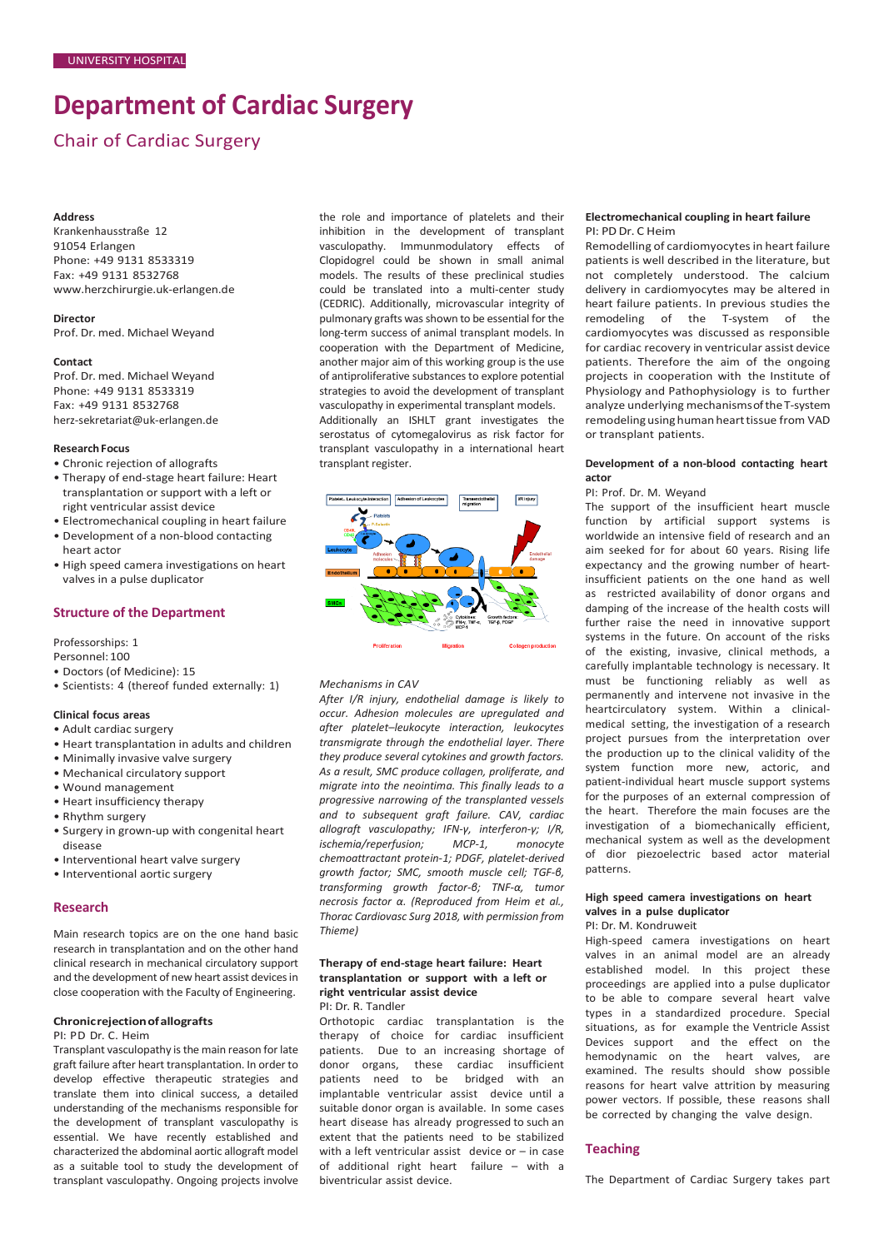# **Department of Cardiac Surgery**

Chair of Cardiac Surgery

## **Address**

Krankenhausstraße 12 91054 Erlangen Phone: +49 9131 8533319 Fax: +49 9131 8532768 www.herzchirurgie.uk-erlangen.de

## **Director**

Prof. Dr. med. Michael Weyand

#### **Contact**

Prof. Dr. med. Michael Weyand Phone: +49 9131 8533319 Fax: +49 9131 8532768 herz-sekretariat@uk-erlangen.de

## **ResearchFocus**

- Chronic rejection of allografts
- Therapy of end-stage heart failure: Heart transplantation or support with a left or right ventricular assist device
- Electromechanical coupling in heart failure
- Development of a non-blood contacting heart actor
- High speed camera investigations on heart valves in a pulse duplicator

# **Structure of the Department**

Professorships: 1

- Personnel:100
- Doctors (of Medicine): 15
- Scientists: 4 (thereof funded externally: 1)

#### **Clinical focus areas**

- Adult cardiac surgery
- Heart transplantation in adults and children
- Minimally invasive valve surgery
- Mechanical circulatory support
- Wound management
- Heart insufficiency therapy
- Rhythm surgery
- Surgery in grown-up with congenital heart disease
- Interventional heart valve surgery
- Interventional aortic surgery

# **Research**

Main research topics are on the one hand basic research in transplantation and on the other hand clinical research in mechanical circulatory support and the development of new heart assist devices in close cooperation with the Faculty of Engineering.

#### **Chronicrejectionofallografts**

#### PI: PD Dr. C. Heim

Transplant vasculopathy is the main reason for late graft failure after heart transplantation. In order to develop effective therapeutic strategies and translate them into clinical success, a detailed understanding of the mechanisms responsible for the development of transplant vasculopathy is essential. We have recently established and characterized the abdominal aortic allograft model as a suitable tool to study the development of transplant vasculopathy. Ongoing projects involve

the role and importance of platelets and their inhibition in the development of transplant vasculopathy. Immunmodulatory effects of Clopidogrel could be shown in small animal models. The results of these preclinical studies could be translated into a multi-center study (CEDRIC). Additionally, microvascular integrity of pulmonary grafts was shown to be essential for the long-term success of animal transplant models. In cooperation with the Department of Medicine, another major aim of this working group is the use of antiproliferative substances to explore potential strategies to avoid the development of transplant vasculopathy in experimental transplant models. Additionally an ISHLT grant investigates the serostatus of cytomegalovirus as risk factor for transplant vasculopathy in a international heart transplant register.



# *Mechanisms in CAV*

*After I/R injury, endothelial damage is likely to occur. Adhesion molecules are upregulated and after platelet–leukocyte interaction, leukocytes transmigrate through the endothelial layer. There they produce several cytokines and growth factors. As a result, SMC produce collagen, proliferate, and migrate into the neointima. This finally leads to a progressive narrowing of the transplanted vessels and to subsequent graft failure. CAV, cardiac allograft vasculopathy; IFN-γ, interferon-γ; I/R, ischemia/reperfusion; MCP-1, monocyte chemoattractant protein-1; PDGF, platelet-derived growth factor; SMC, smooth muscle cell; TGF-β, transforming growth factor-β; TNF-α, tumor necrosis factor α. (Reproduced from Heim et al., Thorac Cardiovasc Surg 2018, with permission from Thieme)*

## **Therapy of end-stage heart failure: Heart transplantation or support with a left or right ventricular assist device** PI: Dr. R. Tandler

Orthotopic cardiac transplantation is the therapy of choice for cardiac insufficient patients. Due to an increasing shortage of donor organs, these cardiac insufficient patients need to be bridged with an implantable ventricular assist device until a suitable donor organ is available. In some cases heart disease has already progressed to such an extent that the patients need to be stabilized with a left ventricular assist device or – in case of additional right heart failure – with a biventricular assist device.

## **Electromechanical coupling in heart failure** PI: PD Dr. C Heim

Remodelling of cardiomyocytes in heart failure patients is well described in the literature, but not completely understood. The calcium delivery in cardiomyocytes may be altered in heart failure patients. In previous studies the remodeling of the T-system of the cardiomyocytes was discussed as responsible for cardiac recovery in ventricular assist device patients. Therefore the aim of the ongoing projects in cooperation with the Institute of Physiology and Pathophysiology is to further analyze underlying mechanismsof theT-system remodeling using human heart tissue from VAD or transplant patients.

# **Development of a non-blood contacting heart actor**

#### PI: Prof. Dr. M. Weyand

The support of the insufficient heart muscle function by artificial support systems is worldwide an intensive field of research and an aim seeked for for about 60 years. Rising life expectancy and the growing number of heartinsufficient patients on the one hand as well as restricted availability of donor organs and damping of the increase of the health costs will further raise the need in innovative support systems in the future. On account of the risks of the existing, invasive, clinical methods, a carefully implantable technology is necessary. It must be functioning reliably as well as permanently and intervene not invasive in the heartcirculatory system. Within a clinicalmedical setting, the investigation of a research project pursues from the interpretation over the production up to the clinical validity of the system function more new, actoric, and patient-individual heart muscle support systems for the purposes of an external compression of the heart. Therefore the main focuses are the investigation of a biomechanically efficient, mechanical system as well as the development of dior piezoelectric based actor material patterns.

# **High speed camera investigations on heart valves in a pulse duplicator**

PI: Dr. M. Kondruweit

High-speed camera investigations on heart valves in an animal model are an already established model. In this project these proceedings are applied into a pulse duplicator to be able to compare several heart valve types in a standardized procedure. Special situations, as for example the Ventricle Assist Devices support and the effect on the hemodynamic on the heart valves, are examined. The results should show possible reasons for heart valve attrition by measuring power vectors. If possible, these reasons shall be corrected by changing the valve design.

# **Teaching**

The Department of Cardiac Surgery takes part